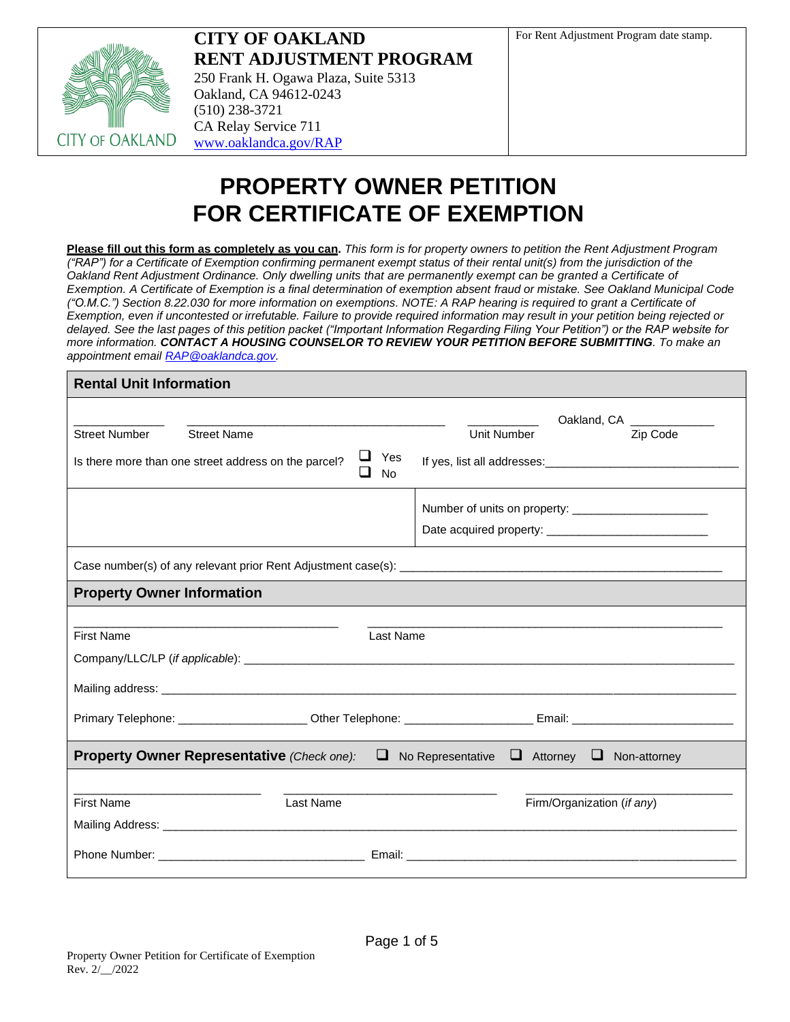

**CITY OF OAKLAND RENT ADJUSTMENT PROGRAM** 250 Frank H. Ogawa Plaza, Suite 5313 Oakland, CA 94612-0243 (510) 238-3721 CA Relay Service 711 [www.oaklandca.gov/RAP](http://www.oaklandca.gov/RAP)

# **PROPERTY OWNER PETITION FOR CERTIFICATE OF EXEMPTION**

**Please fill out this form as completely as you can.** *This form is for property owners to petition the Rent Adjustment Program ("RAP") for a Certificate of Exemption confirming permanent exempt status of their rental unit(s) from the jurisdiction of the Oakland Rent Adjustment Ordinance. Only dwelling units that are permanently exempt can be granted a Certificate of Exemption. A Certificate of Exemption is a final determination of exemption absent fraud or mistake. See Oakland Municipal Code ("O.M.C.") Section 8.22.030 for more information on exemptions. NOTE: A RAP hearing is required to grant a Certificate of Exemption, even if uncontested or irrefutable. Failure to provide required information may result in your petition being rejected or delayed. See the last pages of this petition packet ("Important Information Regarding Filing Your Petition") or the RAP website for more information. CONTACT A HOUSING COUNSELOR TO REVIEW YOUR PETITION BEFORE SUBMITTING. To make an appointment email [RAP@oaklandca.gov.](mailto:RAP@oaklandca.gov)*

| <b>Rental Unit Information</b>                                                                                 |                  |             |                            |
|----------------------------------------------------------------------------------------------------------------|------------------|-------------|----------------------------|
|                                                                                                                |                  |             | Oakland, CA ______________ |
| <b>Street Number</b><br><b>Street Name</b>                                                                     |                  | Unit Number | Zip Code                   |
| ⊔.<br>Is there more than one street address on the parcel?                                                     | Yes<br><b>No</b> |             |                            |
|                                                                                                                |                  |             |                            |
|                                                                                                                |                  |             |                            |
|                                                                                                                |                  |             |                            |
| <b>Property Owner Information</b>                                                                              |                  |             |                            |
|                                                                                                                |                  |             |                            |
| <b>First Name</b>                                                                                              | Last Name        |             |                            |
|                                                                                                                |                  |             |                            |
|                                                                                                                |                  |             |                            |
| Primary Telephone: ______________________Other Telephone: _______________________ Email: _____________________ |                  |             |                            |
| <b>Property Owner Representative</b> (Check one): $\Box$ No Representative $\Box$ Attorney $\Box$ Non-attorney |                  |             |                            |
|                                                                                                                |                  |             |                            |
| Last Name<br><b>First Name</b>                                                                                 |                  |             | Firm/Organization (if any) |
|                                                                                                                |                  |             |                            |
|                                                                                                                |                  |             |                            |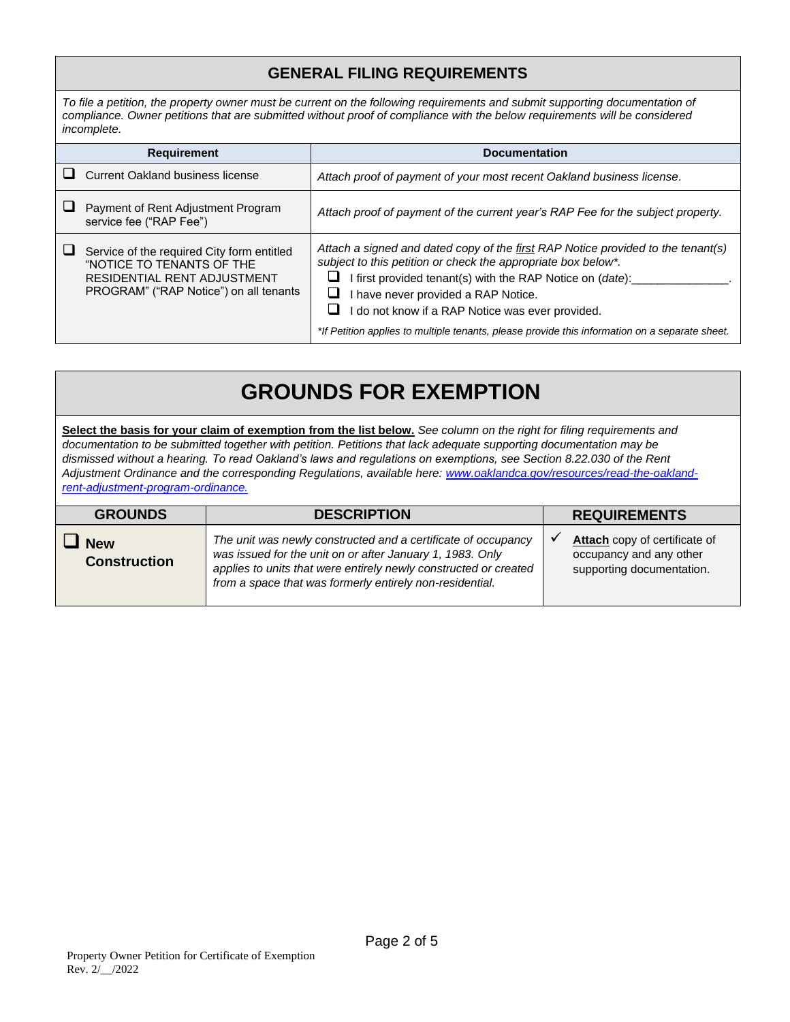### **GENERAL FILING REQUIREMENTS**

*To file a petition, the property owner must be current on the following requirements and submit supporting documentation of compliance. Owner petitions that are submitted without proof of compliance with the below requirements will be considered incomplete.*

| <b>Requirement</b>                                                                                                                               | <b>Documentation</b>                                                                                                                                                                                                                                                                                                                                                                                         |
|--------------------------------------------------------------------------------------------------------------------------------------------------|--------------------------------------------------------------------------------------------------------------------------------------------------------------------------------------------------------------------------------------------------------------------------------------------------------------------------------------------------------------------------------------------------------------|
| <b>Current Oakland business license</b>                                                                                                          | Attach proof of payment of your most recent Oakland business license.                                                                                                                                                                                                                                                                                                                                        |
| Payment of Rent Adjustment Program<br>service fee ("RAP Fee")                                                                                    | Attach proof of payment of the current year's RAP Fee for the subject property.                                                                                                                                                                                                                                                                                                                              |
| Service of the required City form entitled<br>"NOTICE TO TENANTS OF THE<br>RESIDENTIAL RENT ADJUSTMENT<br>PROGRAM" ("RAP Notice") on all tenants | Attach a signed and dated copy of the first RAP Notice provided to the tenant(s)<br>subject to this petition or check the appropriate box below*.<br>first provided tenant(s) with the RAP Notice on (date):<br>I have never provided a RAP Notice.<br>do not know if a RAP Notice was ever provided.<br>ப<br>*If Petition applies to multiple tenants, please provide this information on a separate sheet. |

# **GROUNDS FOR EXEMPTION**

**Select the basis for your claim of exemption from the list below.** *See column on the right for filing requirements and documentation to be submitted together with petition. Petitions that lack adequate supporting documentation may be dismissed without a hearing. To read Oakland's laws and regulations on exemptions, see Section 8.22.030 of the Rent Adjustment Ordinance and the corresponding Regulations, available here: [www.oaklandca.gov/resources/read-the-oakland](mailto:https://www.oaklandca.gov/resources/read-the-oakland-rent-adjustment-program-ordinance.)[rent-adjustment-program-ordinance.](mailto:https://www.oaklandca.gov/resources/read-the-oakland-rent-adjustment-program-ordinance.)*

| <b>GROUNDS</b>                    | <b>DESCRIPTION</b>                                                                                                                                                                                                                                         | <b>REQUIREMENTS</b>                                                                   |
|-----------------------------------|------------------------------------------------------------------------------------------------------------------------------------------------------------------------------------------------------------------------------------------------------------|---------------------------------------------------------------------------------------|
| <b>New</b><br><b>Construction</b> | The unit was newly constructed and a certificate of occupancy<br>was issued for the unit on or after January 1, 1983. Only<br>applies to units that were entirely newly constructed or created<br>from a space that was formerly entirely non-residential. | Attach copy of certificate of<br>occupancy and any other<br>supporting documentation. |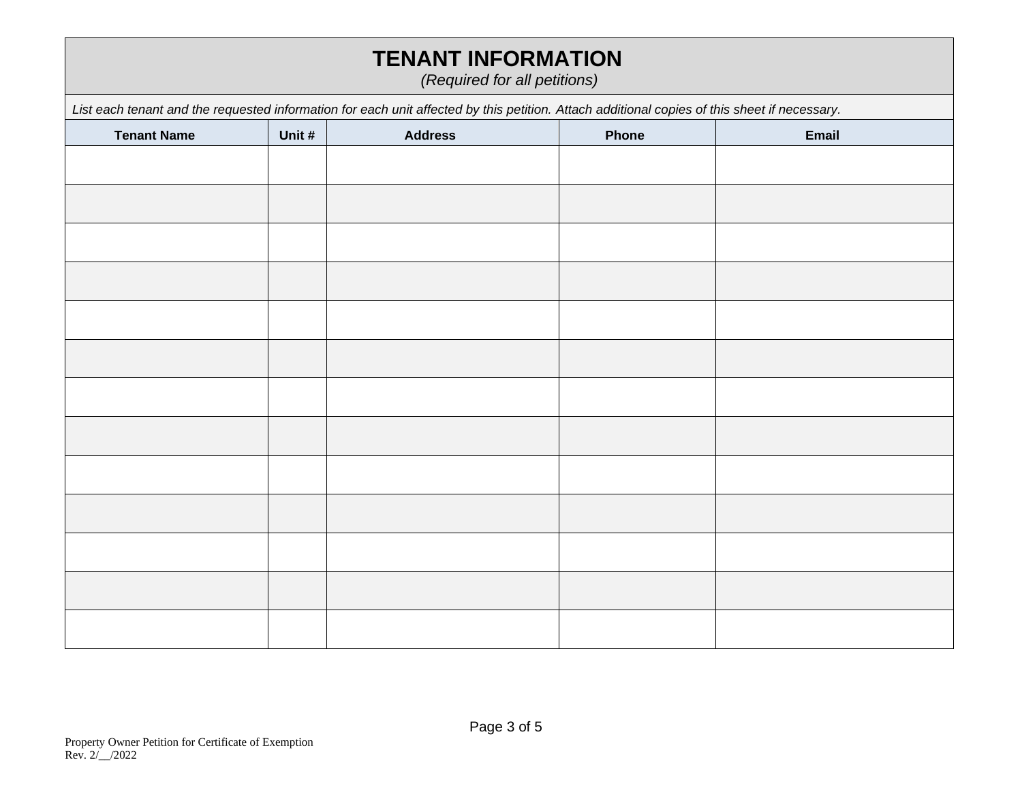# **TENANT INFORMATION**

*(Required for all petitions)*

| List each tenant and the requested information for each unit affected by this petition. Attach additional copies of this sheet if necessary. |        |                |       |       |
|----------------------------------------------------------------------------------------------------------------------------------------------|--------|----------------|-------|-------|
| <b>Tenant Name</b>                                                                                                                           | Unit # | <b>Address</b> | Phone | Email |
|                                                                                                                                              |        |                |       |       |
|                                                                                                                                              |        |                |       |       |
|                                                                                                                                              |        |                |       |       |
|                                                                                                                                              |        |                |       |       |
|                                                                                                                                              |        |                |       |       |
|                                                                                                                                              |        |                |       |       |
|                                                                                                                                              |        |                |       |       |
|                                                                                                                                              |        |                |       |       |
|                                                                                                                                              |        |                |       |       |
|                                                                                                                                              |        |                |       |       |
|                                                                                                                                              |        |                |       |       |
|                                                                                                                                              |        |                |       |       |
|                                                                                                                                              |        |                |       |       |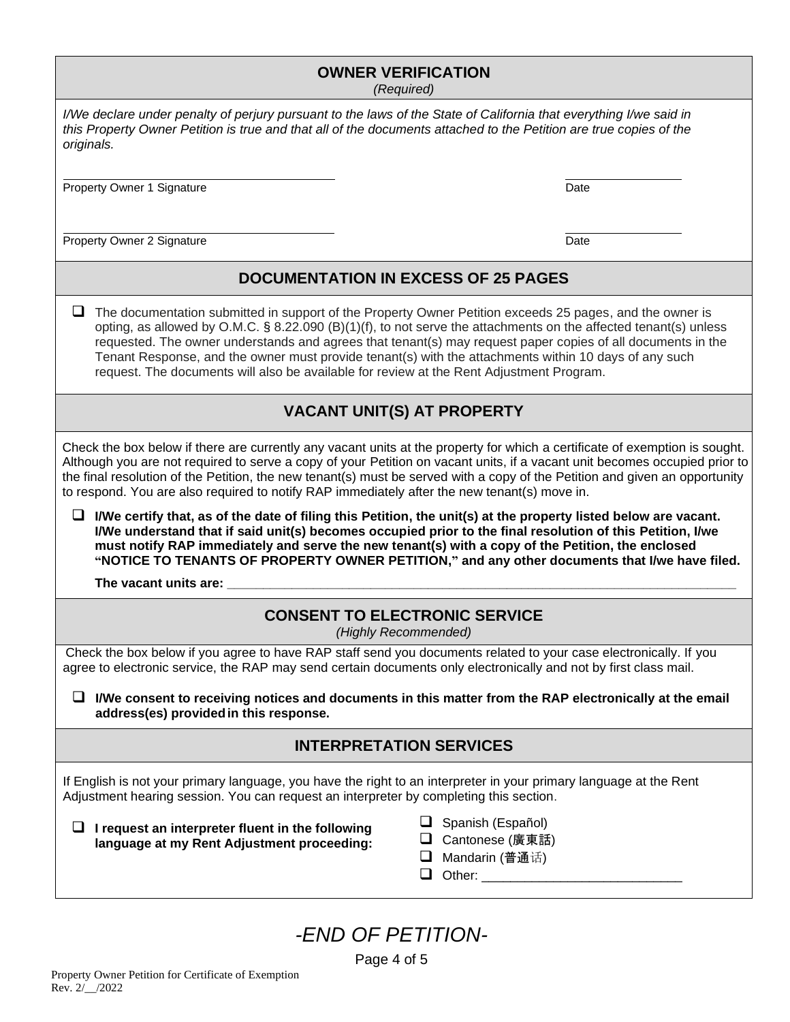| <b>OWNER VERIFICATION</b> |  |  |  |  |  |
|---------------------------|--|--|--|--|--|
|---------------------------|--|--|--|--|--|

*(Required)*

| I/We declare under penalty of perjury pursuant to the laws of the State of California that everything I/we said in |  |
|--------------------------------------------------------------------------------------------------------------------|--|
| this Property Owner Petition is true and that all of the documents attached to the Petition are true copies of the |  |
| originals.                                                                                                         |  |

Property Owner 1 Signature **Date** Date of Contract of Contract of Contract of Contract of Contract of Contract of Contract of Contract of Contract of Contract of Contract of Contract of Contract of Contract of Contract of

Property Owner 2 Signature Date Date Control of the United States of Date Date Date Date

### **DOCUMENTATION IN EXCESS OF 25 PAGES**

□ The documentation submitted in support of the Property Owner Petition exceeds 25 pages, and the owner is opting, as allowed by O.M.C. § 8.22.090 (B)(1)(f), to not serve the attachments on the affected tenant(s) unless requested. The owner understands and agrees that tenant(s) may request paper copies of all documents in the Tenant Response, and the owner must provide tenant(s) with the attachments within 10 days of any such request. The documents will also be available for review at the Rent Adjustment Program.

### **VACANT UNIT(S) AT PROPERTY**

Check the box below if there are currently any vacant units at the property for which a certificate of exemption is sought. Although you are not required to serve a copy of your Petition on vacant units, if a vacant unit becomes occupied prior to the final resolution of the Petition, the new tenant(s) must be served with a copy of the Petition and given an opportunity to respond. You are also required to notify RAP immediately after the new tenant(s) move in.

❑ **I/We certify that, as of the date of filing this Petition, the unit(s) at the property listed below are vacant. I/We understand that if said unit(s) becomes occupied prior to the final resolution of this Petition, I/we must notify RAP immediately and serve the new tenant(s) with a copy of the Petition, the enclosed "NOTICE TO TENANTS OF PROPERTY OWNER PETITION," and any other documents that I/we have filed.**

The vacant units are:

# **CONSENT TO ELECTRONIC SERVICE**

*(Highly Recommended)*

Check the box below if you agree to have RAP staff send you documents related to your case electronically. If you agree to electronic service, the RAP may send certain documents only electronically and not by first class mail.

❑ **I/We consent to receiving notices and documents in this matter from the RAP electronically at the email address(es) providedin this response.**

### **INTERPRETATION SERVICES**

If English is not your primary language, you have the right to an interpreter in your primary language at the Rent Adjustment hearing session. You can request an interpreter by completing this section.

❑ **I request an interpreter fluent in the following language at my Rent Adjustment proceeding:**

- ❑ Spanish (Español)
- ❑ Cantonese (廣東話)
- ❑ Mandarin (普通话)
- $\Box$  Other: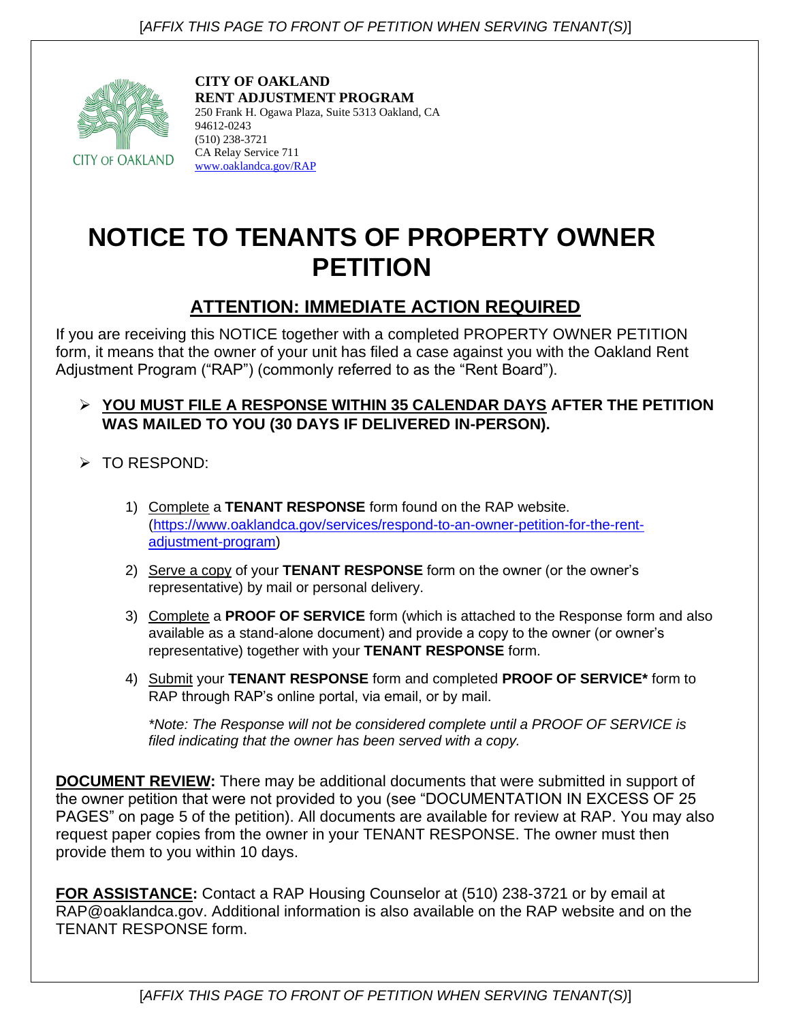

**CITY OF OAKLAND RENT ADJUSTMENT PROGRAM** 250 Frank H. Ogawa Plaza, Suite 5313 Oakland, CA 94612-0243 (510) 238-3721 CA Relay Service 711 [www.oaklandca.gov/RAP](http://www.oaklandca.gov/RAP)

# **NOTICE TO TENANTS OF PROPERTY OWNER PETITION**

# **ATTENTION: IMMEDIATE ACTION REQUIRED**

If you are receiving this NOTICE together with a completed PROPERTY OWNER PETITION form, it means that the owner of your unit has filed a case against you with the Oakland Rent Adjustment Program ("RAP") (commonly referred to as the "Rent Board").

## ➢ **YOU MUST FILE A RESPONSE WITHIN 35 CALENDAR DAYS AFTER THE PETITION WAS MAILED TO YOU (30 DAYS IF DELIVERED IN-PERSON).**

➢ TO RESPOND:

- 1) Complete a **TENANT RESPONSE** form found on the RAP website. [\(https://www.oaklandca.gov/services/respond-to-an-owner-petition-for-the-rent](https://www.oaklandca.gov/services/respond-to-an-owner-petition-for-the-rent-adjustment-program)[adjustment-program\)](https://www.oaklandca.gov/services/respond-to-an-owner-petition-for-the-rent-adjustment-program)
- 2) Serve a copy of your **TENANT RESPONSE** form on the owner (or the owner's representative) by mail or personal delivery.
- 3) Complete a **PROOF OF SERVICE** form (which is attached to the Response form and also available as a stand-alone document) and provide a copy to the owner (or owner's representative) together with your **TENANT RESPONSE** form.
- 4) Submit your **TENANT RESPONSE** form and completed **PROOF OF SERVICE\*** form to RAP through RAP's online portal, via email, or by mail.

*\*Note: The Response will not be considered complete until a PROOF OF SERVICE is filed indicating that the owner has been served with a copy.*

**DOCUMENT REVIEW:** There may be additional documents that were submitted in support of the owner petition that were not provided to you (see "DOCUMENTATION IN EXCESS OF 25 PAGES" on page 5 of the petition). All documents are available for review at RAP. You may also request paper copies from the owner in your TENANT RESPONSE. The owner must then provide them to you within 10 days.

**FOR ASSISTANCE:** Contact a RAP Housing Counselor at (510) 238-3721 or by email at RAP@oaklandca.gov. Additional information is also available on the RAP website and on the TENANT RESPONSE form.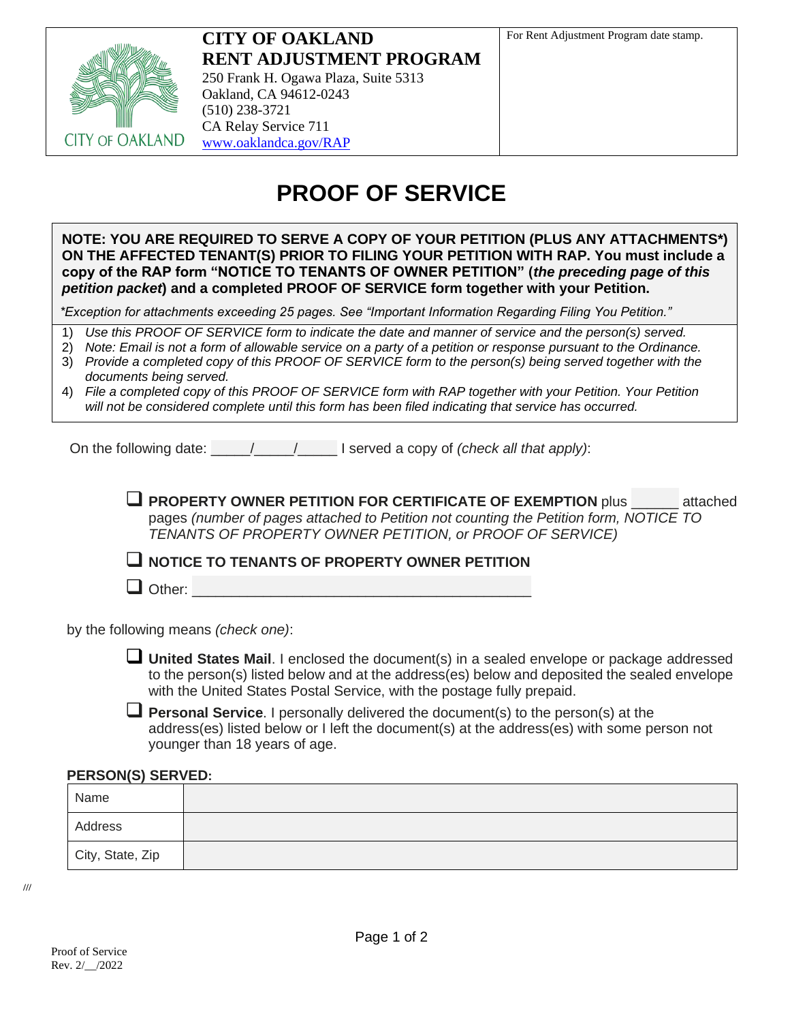

**CITY OF OAKLAND RENT ADJUSTMENT PROGRAM** 250 Frank H. Ogawa Plaza, Suite 5313 Oakland, CA 94612-0243 (510) 238-3721 CA Relay Service 711 [www.oaklandca.gov/RAP](http://www.oaklandca.gov/RAP)

# **PROOF OF SERVICE**

**NOTE: YOU ARE REQUIRED TO SERVE A COPY OF YOUR PETITION (PLUS ANY ATTACHMENTS\*) ON THE AFFECTED TENANT(S) PRIOR TO FILING YOUR PETITION WITH RAP. You must include a copy of the RAP form "NOTICE TO TENANTS OF OWNER PETITION" (***the preceding page of this petition packet***) and a completed PROOF OF SERVICE form together with your Petition.**

*\*Exception for attachments exceeding 25 pages. See "Important Information Regarding Filing You Petition."* 

1) *Use this PROOF OF SERVICE form to indicate the date and manner of service and the person(s) served.*

2) *Note: Email is not a form of allowable service on a party of a petition or response pursuant to the Ordinance.* 3) *Provide a completed copy of this PROOF OF SERVICE form to the person(s) being served together with the* 

*documents being served.*

| 4) File a completed copy of this PROOF OF SERVICE form with RAP together with your Petition. Your Petition |
|------------------------------------------------------------------------------------------------------------|
| will not be considered complete until this form has been filed indicating that service has occurred.       |

On the following date: \_\_\_\_\_/\_\_\_\_\_/\_\_\_\_\_ I served a copy of *(check all that apply)*:

❑ **PROPERTY OWNER PETITION FOR CERTIFICATE OF EXEMPTION** plus \_\_\_\_\_\_ attached pages *(number of pages attached to Petition not counting the Petition form, NOTICE TO TENANTS OF PROPERTY OWNER PETITION, or PROOF OF SERVICE)*

❑ **NOTICE TO TENANTS OF PROPERTY OWNER PETITION**

 $\Box$  Other:

by the following means *(check one)*:

❑ **United States Mail**. I enclosed the document(s) in a sealed envelope or package addressed to the person(s) listed below and at the address(es) below and deposited the sealed envelope with the United States Postal Service, with the postage fully prepaid.

❑ **Personal Service**. I personally delivered the document(s) to the person(s) at the address(es) listed below or I left the document(s) at the address(es) with some person not younger than 18 years of age.

#### **PERSON(S) SERVED:**

| Name             |  |
|------------------|--|
| Address          |  |
| City, State, Zip |  |

**///**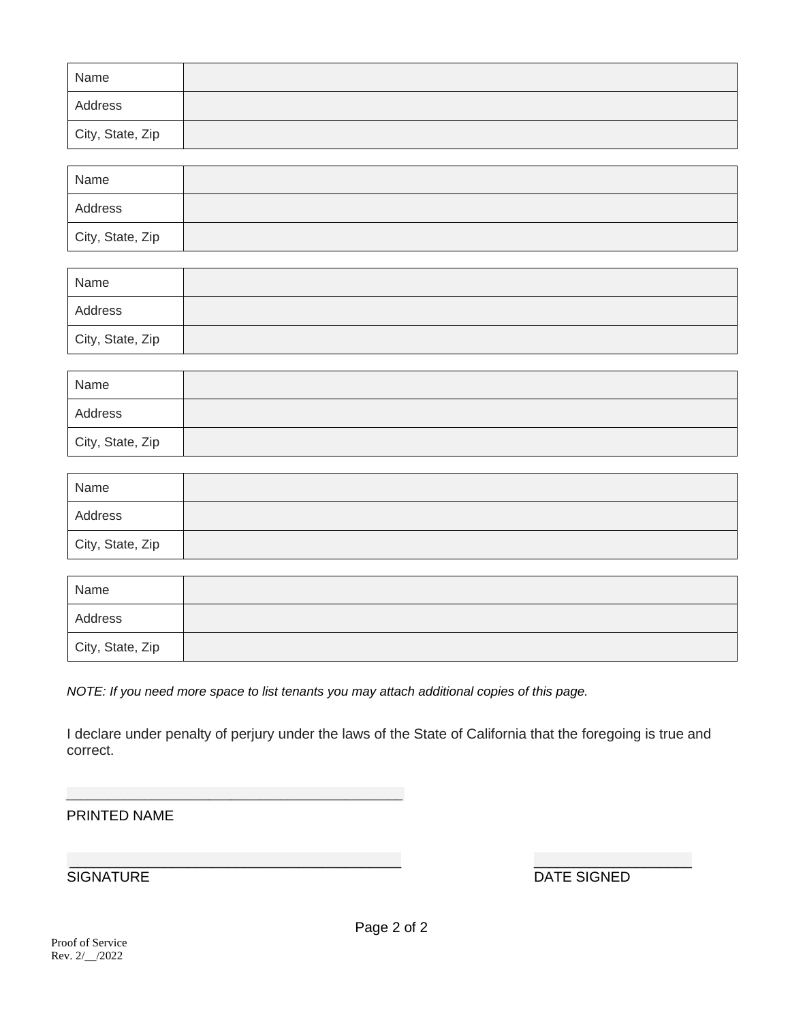| Name             |  |
|------------------|--|
| Address          |  |
| City, State, Zip |  |

| Name             |  |
|------------------|--|
| Address          |  |
| City, State, Zip |  |

| Name             |  |
|------------------|--|
| Address          |  |
| City, State, Zip |  |

| Name             |  |
|------------------|--|
| Address          |  |
| City, State, Zip |  |

| Name             |  |
|------------------|--|
| Address          |  |
| City, State, Zip |  |

| Name             |  |
|------------------|--|
| Address          |  |
| City, State, Zip |  |

*NOTE: If you need more space to list tenants you may attach additional copies of this page.* 

I declare under penalty of perjury under the laws of the State of California that the foregoing is true and correct.

#### PRINTED NAME

\_\_\_\_\_\_\_\_\_\_\_\_\_\_\_\_\_\_\_\_\_\_\_\_\_\_\_\_\_\_\_\_\_\_\_\_\_\_\_\_\_\_ \_\_\_\_\_\_\_\_\_\_\_\_\_\_\_\_\_\_\_\_ DATE SIGNED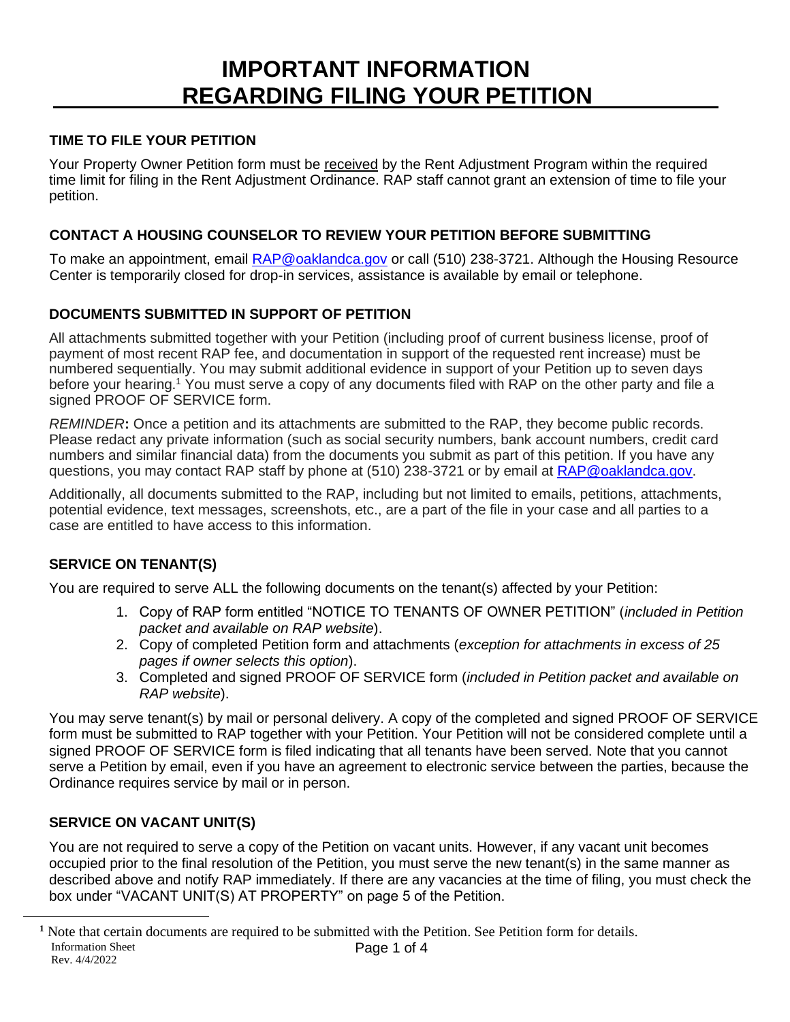# **IMPORTANT INFORMATION** \_\_\_\_\_\_\_\_\_**REGARDING FILING YOUR PETITION**

### **TIME TO FILE YOUR PETITION**

Your Property Owner Petition form must be received by the Rent Adjustment Program within the required time limit for filing in the Rent Adjustment Ordinance. RAP staff cannot grant an extension of time to file your petition.

### **CONTACT A HOUSING COUNSELOR TO REVIEW YOUR PETITION BEFORE SUBMITTING**

To make an appointment, email **RAP@oaklandca.gov** or call (510) 238-3721. Although the Housing Resource Center is temporarily closed for drop-in services, assistance is available by email or telephone.

### **DOCUMENTS SUBMITTED IN SUPPORT OF PETITION**

All attachments submitted together with your Petition (including proof of current business license, proof of payment of most recent RAP fee, and documentation in support of the requested rent increase) must be numbered sequentially. You may submit additional evidence in support of your Petition up to seven days before your hearing.<sup>1</sup> You must serve a copy of any documents filed with RAP on the other party and file a signed PROOF OF SERVICE form.

*REMINDER***:** Once a petition and its attachments are submitted to the RAP, they become public records. Please redact any private information (such as social security numbers, bank account numbers, credit card numbers and similar financial data) from the documents you submit as part of this petition. If you have any questions, you may contact RAP staff by phone at (510) 238-3721 or by email at [RAP@oaklandca.gov.](mailto:RAP@oaklandca.gov)

Additionally, all documents submitted to the RAP, including but not limited to emails, petitions, attachments, potential evidence, text messages, screenshots, etc., are a part of the file in your case and all parties to a case are entitled to have access to this information.

### **SERVICE ON TENANT(S)**

You are required to serve ALL the following documents on the tenant(s) affected by your Petition:

- 1. Copy of RAP form entitled "NOTICE TO TENANTS OF OWNER PETITION" (*included in Petition packet and available on RAP website*).
- 2. Copy of completed Petition form and attachments (*exception for attachments in excess of 25 pages if owner selects this option*).
- 3. Completed and signed PROOF OF SERVICE form (*included in Petition packet and available on RAP website*).

You may serve tenant(s) by mail or personal delivery. A copy of the completed and signed PROOF OF SERVICE form must be submitted to RAP together with your Petition. Your Petition will not be considered complete until a signed PROOF OF SERVICE form is filed indicating that all tenants have been served. Note that you cannot serve a Petition by email, even if you have an agreement to electronic service between the parties, because the Ordinance requires service by mail or in person.

### **SERVICE ON VACANT UNIT(S)**

You are not required to serve a copy of the Petition on vacant units. However, if any vacant unit becomes occupied prior to the final resolution of the Petition, you must serve the new tenant(s) in the same manner as described above and notify RAP immediately. If there are any vacancies at the time of filing, you must check the box under "VACANT UNIT(S) AT PROPERTY" on page 5 of the Petition.

Information Sheet Rev. 4/4/2022 Page 1 of 4 <sup>1</sup> Note that certain documents are required to be submitted with the Petition. See Petition form for details.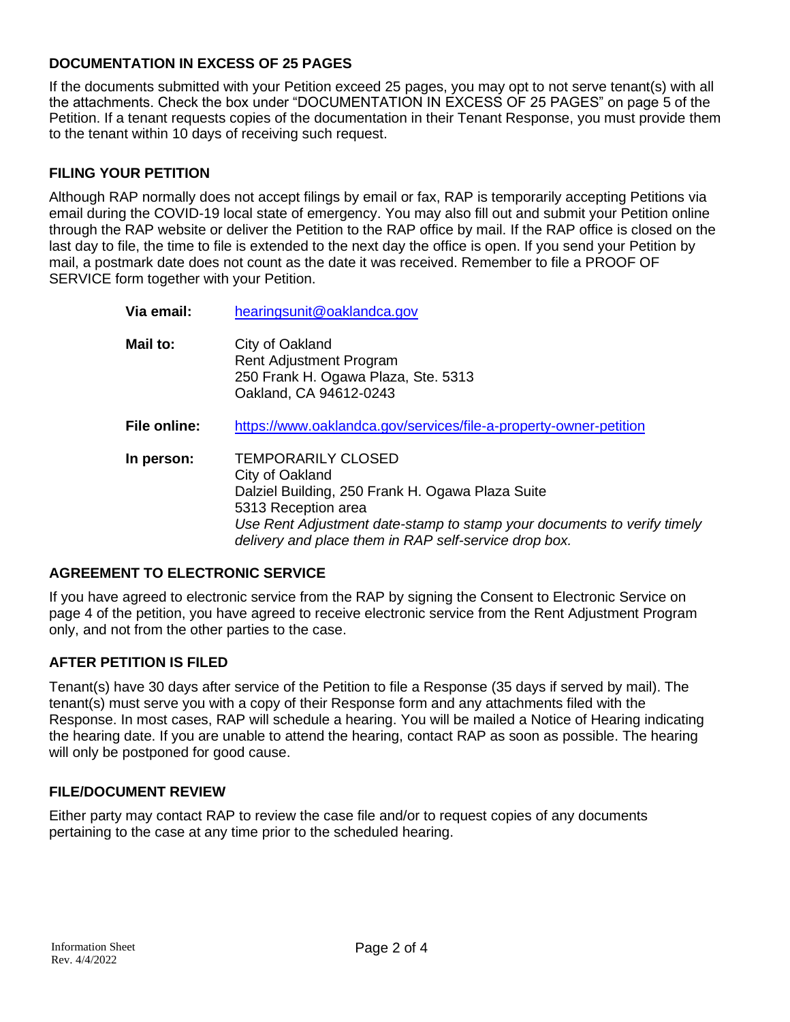### **DOCUMENTATION IN EXCESS OF 25 PAGES**

**Via email:** [hearingsunit@oaklandca.gov](mailto:hearingsunit@oaklandca.gov)

If the documents submitted with your Petition exceed 25 pages, you may opt to not serve tenant(s) with all the attachments. Check the box under "DOCUMENTATION IN EXCESS OF 25 PAGES" on page 5 of the Petition. If a tenant requests copies of the documentation in their Tenant Response, you must provide them to the tenant within 10 days of receiving such request.

#### **FILING YOUR PETITION**

Although RAP normally does not accept filings by email or fax, RAP is temporarily accepting Petitions via email during the COVID-19 local state of emergency. You may also fill out and submit your Petition online through the RAP website or deliver the Petition to the RAP office by mail. If the RAP office is closed on the last day to file, the time to file is extended to the next day the office is open. If you send your Petition by mail, a postmark date does not count as the date it was received. Remember to file a PROOF OF SERVICE form together with your Petition.

| via email.          | <u>Healingsuntwoarianuca.gov</u>                                                                                                                                                                                                                            |
|---------------------|-------------------------------------------------------------------------------------------------------------------------------------------------------------------------------------------------------------------------------------------------------------|
| Mail to:            | City of Oakland<br><b>Rent Adjustment Program</b><br>250 Frank H. Ogawa Plaza, Ste. 5313<br>Oakland, CA 94612-0243                                                                                                                                          |
| <b>File online:</b> | https://www.oaklandca.gov/services/file-a-property-owner-petition                                                                                                                                                                                           |
| In person:          | <b>TEMPORARILY CLOSED</b><br>City of Oakland<br>Dalziel Building, 250 Frank H. Ogawa Plaza Suite<br>5313 Reception area<br>Use Rent Adjustment date-stamp to stamp your documents to verify timely<br>delivery and place them in RAP self-service drop box. |

#### **AGREEMENT TO ELECTRONIC SERVICE**

If you have agreed to electronic service from the RAP by signing the Consent to Electronic Service on page 4 of the petition, you have agreed to receive electronic service from the Rent Adjustment Program only, and not from the other parties to the case.

#### **AFTER PETITION IS FILED**

Tenant(s) have 30 days after service of the Petition to file a Response (35 days if served by mail). The tenant(s) must serve you with a copy of their Response form and any attachments filed with the Response. In most cases, RAP will schedule a hearing. You will be mailed a Notice of Hearing indicating the hearing date. If you are unable to attend the hearing, contact RAP as soon as possible. The hearing will only be postponed for good cause.

### **FILE/DOCUMENT REVIEW**

Either party may contact RAP to review the case file and/or to request copies of any documents pertaining to the case at any time prior to the scheduled hearing.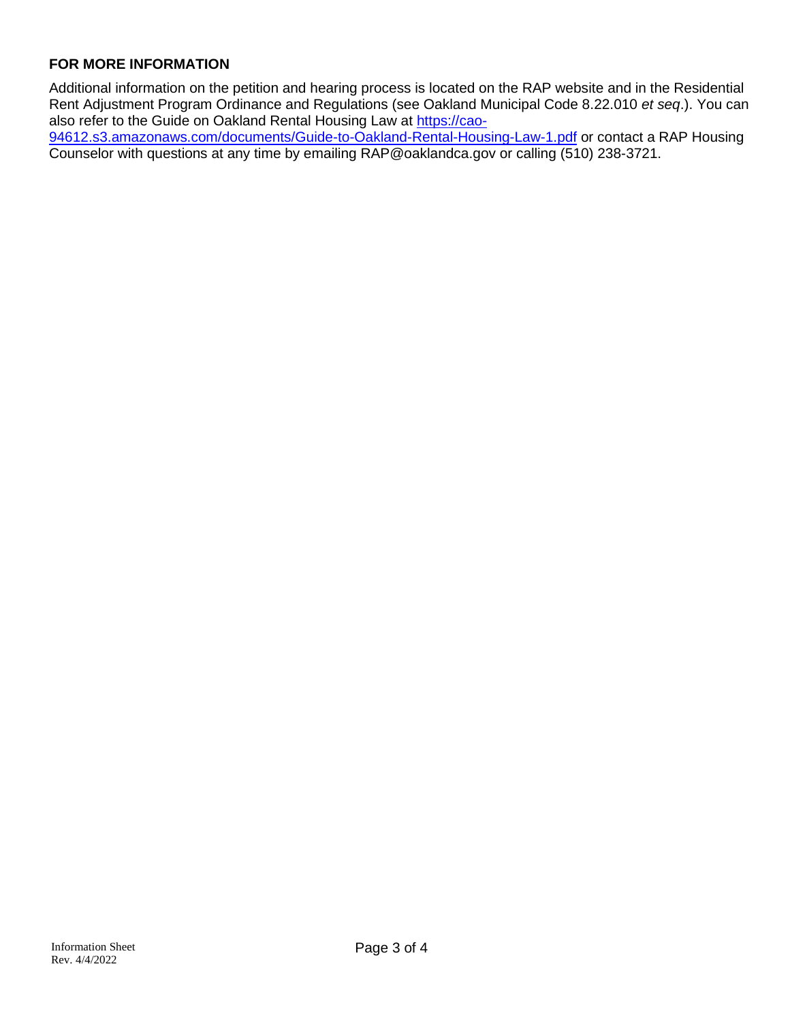### **FOR MORE INFORMATION**

Additional information on the petition and hearing process is located on the RAP website and in the Residential Rent Adjustment Program Ordinance and Regulations (see Oakland Municipal Code 8.22.010 *et seq*.). You can also refer to the Guide on Oakland Rental Housing Law at [https://cao-](https://cao-94612.s3.amazonaws.com/documents/Guide-to-Oakland-Rental-Housing-Law-1.pdf)

[94612.s3.amazonaws.com/documents/Guide-to-Oakland-Rental-Housing-Law-1.pdf](https://cao-94612.s3.amazonaws.com/documents/Guide-to-Oakland-Rental-Housing-Law-1.pdf) or contact a RAP Housing Counselor with questions at any time by emailing RAP@oaklandca.gov or calling (510) 238-3721.